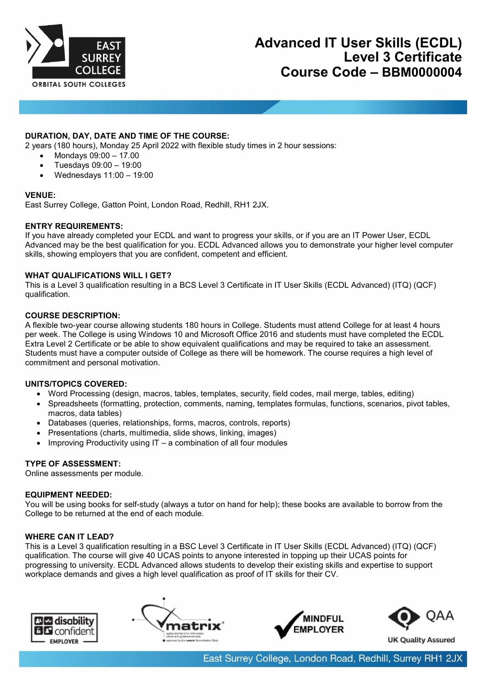

# **DURATION, DAY, DATE AND TIME OF THE COURSE:**

2 years (180 hours), Monday 25 April 2022 with flexible study times in 2 hour sessions:

- Mondays 09:00 17.00
- Tuesdays 09:00 19:00
- Wednesdays 11:00 19:00

### **VENUE:**

East Surrey College, Gatton Point, London Road, Redhill, RH1 2JX.

### **ENTRY REQUIREMENTS:**

If you have already completed your ECDL and want to progress your skills, or if you are an IT Power User, ECDL Advanced may be the best qualification for you. ECDL Advanced allows you to demonstrate your higher level computer skills, showing employers that you are confident, competent and efficient.

### **WHAT QUALIFICATIONS WILL I GET?**

This is a Level 3 qualification resulting in a BCS Level 3 Certificate in IT User Skills (ECDL Advanced) (ITQ) (QCF) qualification.

### **COURSE DESCRIPTION:**

A flexible two-year course allowing students 180 hours in College. Students must attend College for at least 4 hours per week. The College is using Windows 10 and Microsoft Office 2016 and students must have completed the ECDL Extra Level 2 Certificate or be able to show equivalent qualifications and may be required to take an assessment. Students must have a computer outside of College as there will be homework. The course requires a high level of commitment and personal motivation.

## **UNITS/TOPICS COVERED:**

- Word Processing (design, macros, tables, templates, security, field codes, mail merge, tables, editing)
- Spreadsheets (formatting, protection, comments, naming, templates formulas, functions, scenarios, pivot tables, macros, data tables)
- Databases (queries, relationships, forms, macros, controls, reports)
- Presentations (charts, multimedia, slide shows, linking, images)
- Improving Productivity using IT a combination of all four modules

## **TYPE OF ASSESSMENT:**

Online assessments per module.

#### **EQUIPMENT NEEDED:**

You will be using books for self-study (always a tutor on hand for help); these books are available to borrow from the College to be returned at the end of each module.

## **WHERE CAN IT LEAD?**

This is a Level 3 qualification resulting in a BSC Level 3 Certificate in IT User Skills (ECDL Advanced) (ITQ) (QCF) qualification. The course will give 40 UCAS points to anyone interested in topping up their UCAS points for progressing to university. ECDL Advanced allows students to develop their existing skills and expertise to support workplace demands and gives a high level qualification as proof of IT skills for their CV.